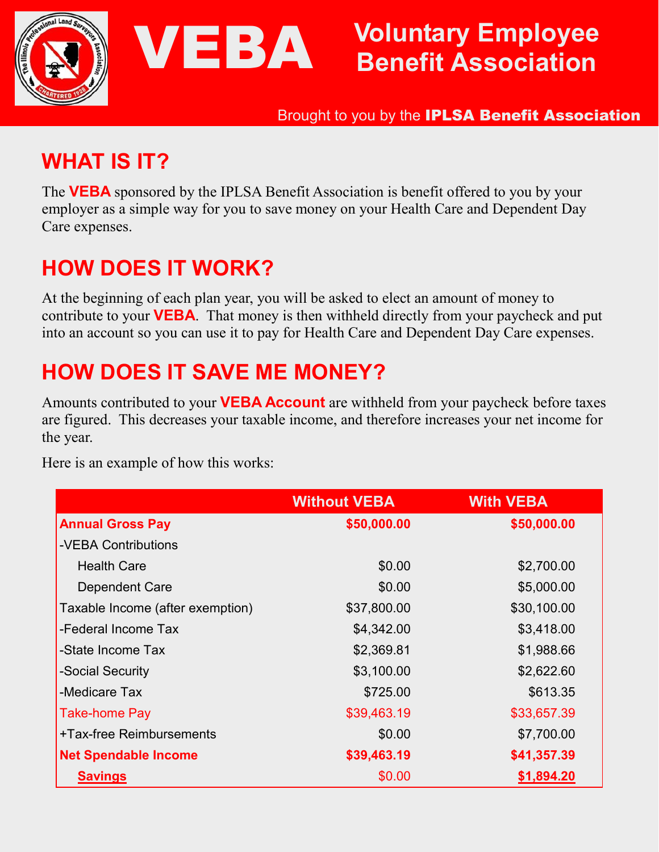

# Voluntary Employee Benefit Association

Brought to you by the IPLSA Benefit Association

### WHAT IS IT?

The VEBA sponsored by the IPLSA Benefit Association is benefit offered to you by your employer as a simple way for you to save money on your Health Care and Dependent Day Care expenses.

## HOW DOES IT WORK?

At the beginning of each plan year, you will be asked to elect an amount of money to contribute to your **VEBA**. That money is then withheld directly from your paycheck and put into an account so you can use it to pay for Health Care and Dependent Day Care expenses.

## HOW DOES IT SAVE ME MONEY?

VEBA

Amounts contributed to your **VEBA Account** are withheld from your paycheck before taxes are figured. This decreases your taxable income, and therefore increases your net income for the year.

Here is an example of how this works:

|                                  | <b>Without VEBA</b> | <b>With VEBA</b> |
|----------------------------------|---------------------|------------------|
| <b>Annual Gross Pay</b>          | \$50,000.00         | \$50,000.00      |
| -VEBA Contributions              |                     |                  |
| <b>Health Care</b>               | \$0.00              | \$2,700.00       |
| Dependent Care                   | \$0.00              | \$5,000.00       |
| Taxable Income (after exemption) | \$37,800.00         | \$30,100.00      |
| -Federal Income Tax              | \$4,342.00          | \$3,418.00       |
| -State Income Tax                | \$2,369.81          | \$1,988.66       |
| -Social Security                 | \$3,100.00          | \$2,622.60       |
| -Medicare Tax                    | \$725.00            | \$613.35         |
| Take-home Pay                    | \$39,463.19         | \$33,657.39      |
| +Tax-free Reimbursements         | \$0.00              | \$7,700.00       |
| <b>Net Spendable Income</b>      | \$39,463.19         | \$41,357.39      |
| <b>Savings</b>                   | \$0.00              | \$1,894.20       |